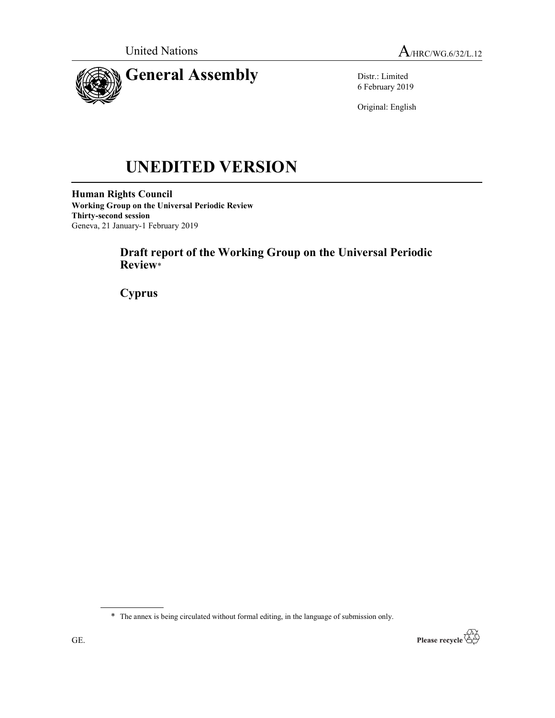



Distr.: Limited 6 February 2019

Original: English

# UNEDITED VERSION

Human Rights Council Working Group on the Universal Periodic Review Thirty-second session Geneva, 21 January-1 February 2019

## Draft report of the Working Group on the Universal Periodic Review\*

**Cyprus** 

<sup>\*</sup> The annex is being circulated without formal editing, in the language of submission only.

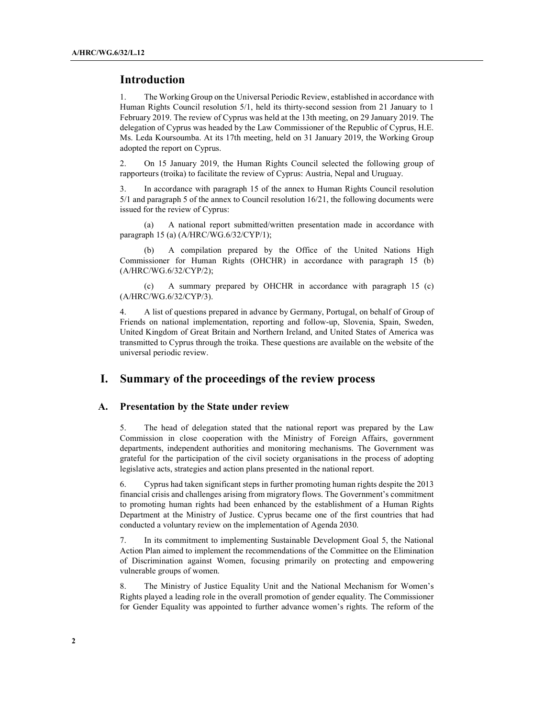### Introduction

1. The Working Group on the Universal Periodic Review, established in accordance with Human Rights Council resolution 5/1, held its thirty-second session from 21 January to 1 February 2019. The review of Cyprus was held at the 13th meeting, on 29 January 2019. The delegation of Cyprus was headed by the Law Commissioner of the Republic of Cyprus, H.E. Ms. Leda Koursoumba. At its 17th meeting, held on 31 January 2019, the Working Group adopted the report on Cyprus.

2. On 15 January 2019, the Human Rights Council selected the following group of rapporteurs (troika) to facilitate the review of Cyprus: Austria, Nepal and Uruguay.

3. In accordance with paragraph 15 of the annex to Human Rights Council resolution 5/1 and paragraph 5 of the annex to Council resolution 16/21, the following documents were issued for the review of Cyprus:

 (a) A national report submitted/written presentation made in accordance with paragraph 15 (a) (A/HRC/WG.6/32/CYP/1);

 (b) A compilation prepared by the Office of the United Nations High Commissioner for Human Rights (OHCHR) in accordance with paragraph 15 (b) (A/HRC/WG.6/32/CYP/2);

 (c) A summary prepared by OHCHR in accordance with paragraph 15 (c) (A/HRC/WG.6/32/CYP/3).

4. A list of questions prepared in advance by Germany, Portugal, on behalf of Group of Friends on national implementation, reporting and follow-up, Slovenia, Spain, Sweden, United Kingdom of Great Britain and Northern Ireland, and United States of America was transmitted to Cyprus through the troika. These questions are available on the website of the universal periodic review.

## I. Summary of the proceedings of the review process

#### A. Presentation by the State under review

5. The head of delegation stated that the national report was prepared by the Law Commission in close cooperation with the Ministry of Foreign Affairs, government departments, independent authorities and monitoring mechanisms. The Government was grateful for the participation of the civil society organisations in the process of adopting legislative acts, strategies and action plans presented in the national report.

6. Cyprus had taken significant steps in further promoting human rights despite the 2013 financial crisis and challenges arising from migratory flows. The Government's commitment to promoting human rights had been enhanced by the establishment of a Human Rights Department at the Ministry of Justice. Cyprus became one of the first countries that had conducted a voluntary review on the implementation of Agenda 2030.

7. In its commitment to implementing Sustainable Development Goal 5, the National Action Plan aimed to implement the recommendations of the Committee on the Elimination of Discrimination against Women, focusing primarily on protecting and empowering vulnerable groups of women.

8. The Ministry of Justice Equality Unit and the National Mechanism for Women's Rights played a leading role in the overall promotion of gender equality. The Commissioner for Gender Equality was appointed to further advance women's rights. The reform of the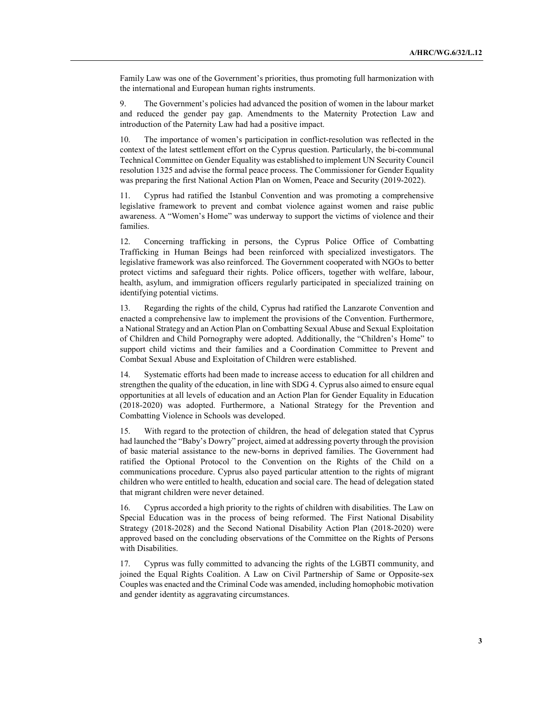Family Law was one of the Government's priorities, thus promoting full harmonization with the international and European human rights instruments.

9. The Government's policies had advanced the position of women in the labour market and reduced the gender pay gap. Amendments to the Maternity Protection Law and introduction of the Paternity Law had had a positive impact.

10. The importance of women's participation in conflict-resolution was reflected in the context of the latest settlement effort on the Cyprus question. Particularly, the bi-communal Technical Committee on Gender Equality was established to implement UN Security Council resolution 1325 and advise the formal peace process. The Commissioner for Gender Equality was preparing the first National Action Plan on Women, Peace and Security (2019-2022).

11. Cyprus had ratified the Istanbul Convention and was promoting a comprehensive legislative framework to prevent and combat violence against women and raise public awareness. A "Women's Home" was underway to support the victims of violence and their families.

12. Concerning trafficking in persons, the Cyprus Police Office of Combatting Trafficking in Human Beings had been reinforced with specialized investigators. The legislative framework was also reinforced. The Government cooperated with NGOs to better protect victims and safeguard their rights. Police officers, together with welfare, labour, health, asylum, and immigration officers regularly participated in specialized training on identifying potential victims.

13. Regarding the rights of the child, Cyprus had ratified the Lanzarote Convention and enacted a comprehensive law to implement the provisions of the Convention. Furthermore, a National Strategy and an Action Plan on Combatting Sexual Abuse and Sexual Exploitation of Children and Child Pornography were adopted. Additionally, the "Children's Home" to support child victims and their families and a Coordination Committee to Prevent and Combat Sexual Abuse and Exploitation of Children were established.

14. Systematic efforts had been made to increase access to education for all children and strengthen the quality of the education, in line with SDG 4. Cyprus also aimed to ensure equal opportunities at all levels of education and an Action Plan for Gender Equality in Education (2018-2020) was adopted. Furthermore, a National Strategy for the Prevention and Combatting Violence in Schools was developed.

15. With regard to the protection of children, the head of delegation stated that Cyprus had launched the "Baby's Dowry" project, aimed at addressing poverty through the provision of basic material assistance to the new-borns in deprived families. The Government had ratified the Optional Protocol to the Convention on the Rights of the Child on a communications procedure. Cyprus also payed particular attention to the rights of migrant children who were entitled to health, education and social care. The head of delegation stated that migrant children were never detained.

16. Cyprus accorded a high priority to the rights of children with disabilities. The Law on Special Education was in the process of being reformed. The First National Disability Strategy (2018-2028) and the Second National Disability Action Plan (2018-2020) were approved based on the concluding observations of the Committee on the Rights of Persons with Disabilities.

17. Cyprus was fully committed to advancing the rights of the LGBTI community, and joined the Equal Rights Coalition. A Law on Civil Partnership of Same or Opposite-sex Couples was enacted and the Criminal Code was amended, including homophobic motivation and gender identity as aggravating circumstances.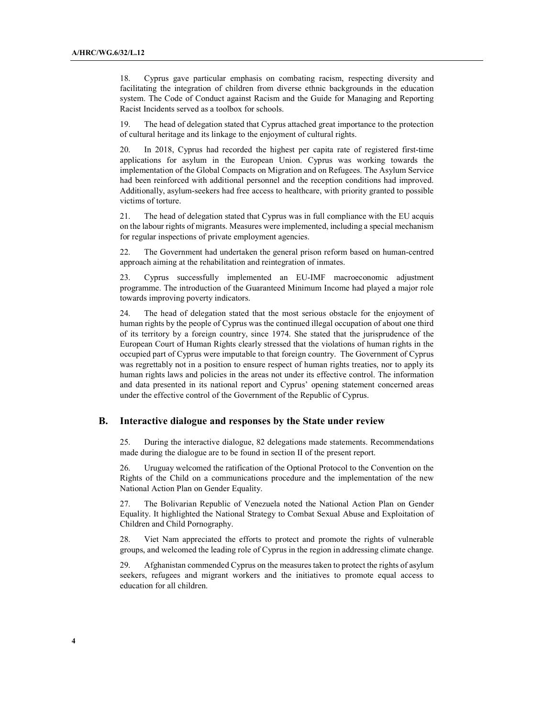18. Cyprus gave particular emphasis on combating racism, respecting diversity and facilitating the integration of children from diverse ethnic backgrounds in the education system. The Code of Conduct against Racism and the Guide for Managing and Reporting Racist Incidents served as a toolbox for schools.

19. The head of delegation stated that Cyprus attached great importance to the protection of cultural heritage and its linkage to the enjoyment of cultural rights.

20. In 2018, Cyprus had recorded the highest per capita rate of registered first-time applications for asylum in the European Union. Cyprus was working towards the implementation of the Global Compacts on Migration and on Refugees. The Asylum Service had been reinforced with additional personnel and the reception conditions had improved. Additionally, asylum-seekers had free access to healthcare, with priority granted to possible victims of torture.

21. The head of delegation stated that Cyprus was in full compliance with the EU acquis on the labour rights of migrants. Measures were implemented, including a special mechanism for regular inspections of private employment agencies.

22. The Government had undertaken the general prison reform based on human-centred approach aiming at the rehabilitation and reintegration of inmates.

23. Cyprus successfully implemented an EU-IMF macroeconomic adjustment programme. The introduction of the Guaranteed Minimum Income had played a major role towards improving poverty indicators.

24. The head of delegation stated that the most serious obstacle for the enjoyment of human rights by the people of Cyprus was the continued illegal occupation of about one third of its territory by a foreign country, since 1974. She stated that the jurisprudence of the European Court of Human Rights clearly stressed that the violations of human rights in the occupied part of Cyprus were imputable to that foreign country. The Government of Cyprus was regrettably not in a position to ensure respect of human rights treaties, nor to apply its human rights laws and policies in the areas not under its effective control. The information and data presented in its national report and Cyprus' opening statement concerned areas under the effective control of the Government of the Republic of Cyprus.

#### B. Interactive dialogue and responses by the State under review

25. During the interactive dialogue, 82 delegations made statements. Recommendations made during the dialogue are to be found in section II of the present report.

26. Uruguay welcomed the ratification of the Optional Protocol to the Convention on the Rights of the Child on a communications procedure and the implementation of the new National Action Plan on Gender Equality.

27. The Bolivarian Republic of Venezuela noted the National Action Plan on Gender Equality. It highlighted the National Strategy to Combat Sexual Abuse and Exploitation of Children and Child Pornography.

28. Viet Nam appreciated the efforts to protect and promote the rights of vulnerable groups, and welcomed the leading role of Cyprus in the region in addressing climate change.

29. Afghanistan commended Cyprus on the measures taken to protect the rights of asylum seekers, refugees and migrant workers and the initiatives to promote equal access to education for all children.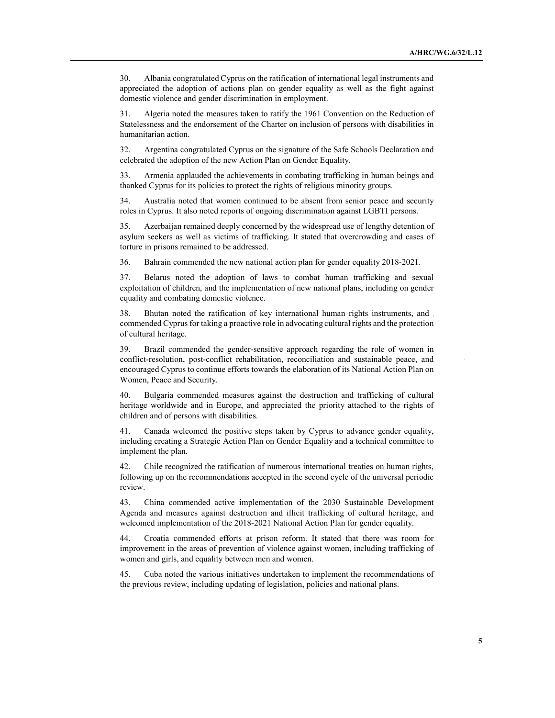30. Albania congratulated Cyprus on the ratification of international legal instruments and appreciated the adoption of actions plan on gender equality as well as the fight against domestic violence and gender discrimination in employment.

31. Algeria noted the measures taken to ratify the 1961 Convention on the Reduction of Statelessness and the endorsement of the Charter on inclusion of persons with disabilities in humanitarian action.

32. Argentina congratulated Cyprus on the signature of the Safe Schools Declaration and celebrated the adoption of the new Action Plan on Gender Equality.

33. Armenia applauded the achievements in combating trafficking in human beings and thanked Cyprus for its policies to protect the rights of religious minority groups.

34. Australia noted that women continued to be absent from senior peace and security roles in Cyprus. It also noted reports of ongoing discrimination against LGBTI persons.

35. Azerbaijan remained deeply concerned by the widespread use of lengthy detention of asylum seekers as well as victims of trafficking. It stated that overcrowding and cases of torture in prisons remained to be addressed.

36. Bahrain commended the new national action plan for gender equality 2018-2021.

37. Belarus noted the adoption of laws to combat human trafficking and sexual exploitation of children, and the implementation of new national plans, including on gender equality and combating domestic violence.

38. Bhutan noted the ratification of key international human rights instruments, and commended Cyprus for taking a proactive role in advocating cultural rights and the protection of cultural heritage.

39. Brazil commended the gender-sensitive approach regarding the role of women in conflict-resolution, post-conflict rehabilitation, reconciliation and sustainable peace, and encouraged Cyprus to continue efforts towards the elaboration of its National Action Plan on Women, Peace and Security.

40. Bulgaria commended measures against the destruction and trafficking of cultural heritage worldwide and in Europe, and appreciated the priority attached to the rights of children and of persons with disabilities.

41. Canada welcomed the positive steps taken by Cyprus to advance gender equality, including creating a Strategic Action Plan on Gender Equality and a technical committee to implement the plan.

42. Chile recognized the ratification of numerous international treaties on human rights, following up on the recommendations accepted in the second cycle of the universal periodic review.

43. China commended active implementation of the 2030 Sustainable Development Agenda and measures against destruction and illicit trafficking of cultural heritage, and welcomed implementation of the 2018-2021 National Action Plan for gender equality.

44. Croatia commended efforts at prison reform. It stated that there was room for improvement in the areas of prevention of violence against women, including trafficking of women and girls, and equality between men and women.

45. Cuba noted the various initiatives undertaken to implement the recommendations of the previous review, including updating of legislation, policies and national plans.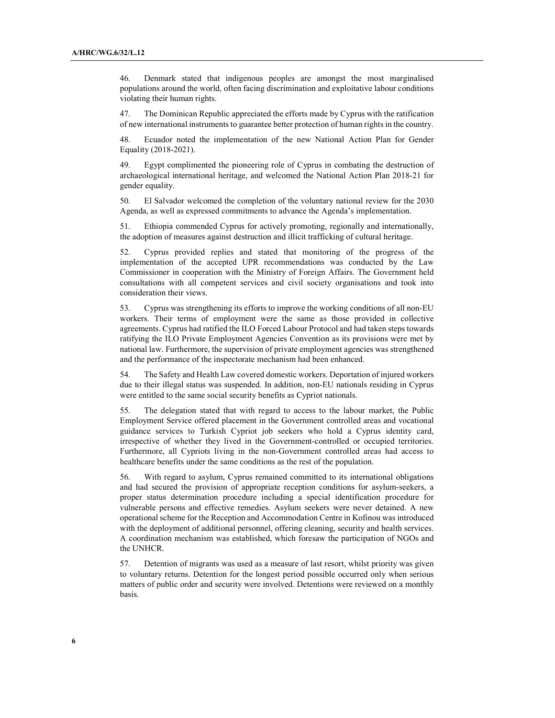46. Denmark stated that indigenous peoples are amongst the most marginalised populations around the world, often facing discrimination and exploitative labour conditions violating their human rights.

47. The Dominican Republic appreciated the efforts made by Cyprus with the ratification of new international instruments to guarantee better protection of human rights in the country.

48. Ecuador noted the implementation of the new National Action Plan for Gender Equality (2018-2021).

49. Egypt complimented the pioneering role of Cyprus in combating the destruction of archaeological international heritage, and welcomed the National Action Plan 2018-21 for gender equality.

50. El Salvador welcomed the completion of the voluntary national review for the 2030 Agenda, as well as expressed commitments to advance the Agenda's implementation.

51. Ethiopia commended Cyprus for actively promoting, regionally and internationally, the adoption of measures against destruction and illicit trafficking of cultural heritage.

52. Cyprus provided replies and stated that monitoring of the progress of the implementation of the accepted UPR recommendations was conducted by the Law Commissioner in cooperation with the Ministry of Foreign Affairs. The Government held consultations with all competent services and civil society organisations and took into consideration their views.

53. Cyprus was strengthening its efforts to improve the working conditions of all non-EU workers. Their terms of employment were the same as those provided in collective agreements. Cyprus had ratified the ILO Forced Labour Protocol and had taken steps towards ratifying the ILO Private Employment Agencies Convention as its provisions were met by national law. Furthermore, the supervision of private employment agencies was strengthened and the performance of the inspectorate mechanism had been enhanced.

54. The Safety and Health Law covered domestic workers. Deportation of injured workers due to their illegal status was suspended. In addition, non-EU nationals residing in Cyprus were entitled to the same social security benefits as Cypriot nationals.

55. The delegation stated that with regard to access to the labour market, the Public Employment Service offered placement in the Government controlled areas and vocational guidance services to Turkish Cypriot job seekers who hold a Cyprus identity card, irrespective of whether they lived in the Government-controlled or occupied territories. Furthermore, all Cypriots living in the non-Government controlled areas had access to healthcare benefits under the same conditions as the rest of the population.

56. With regard to asylum, Cyprus remained committed to its international obligations and had secured the provision of appropriate reception conditions for asylum-seekers, a proper status determination procedure including a special identification procedure for vulnerable persons and effective remedies. Asylum seekers were never detained. A new operational scheme for the Reception and Accommodation Centre in Kofinou was introduced with the deployment of additional personnel, offering cleaning, security and health services. A coordination mechanism was established, which foresaw the participation of NGOs and the UNHCR.

57. Detention of migrants was used as a measure of last resort, whilst priority was given to voluntary returns. Detention for the longest period possible occurred only when serious matters of public order and security were involved. Detentions were reviewed on a monthly basis.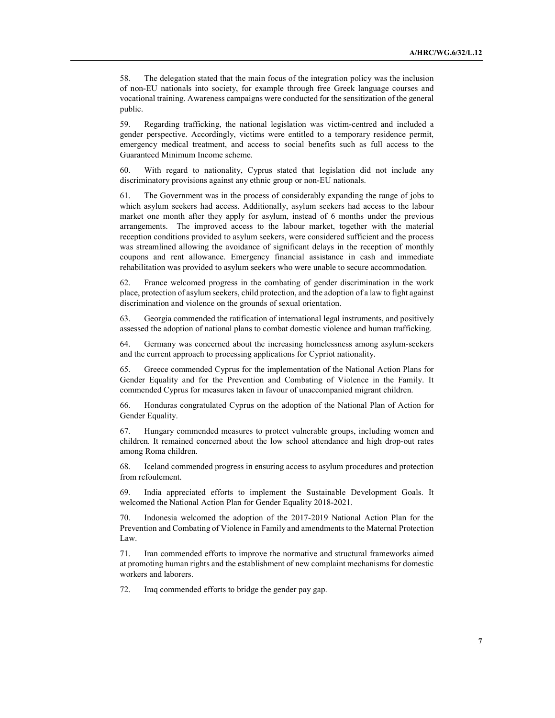58. The delegation stated that the main focus of the integration policy was the inclusion of non-EU nationals into society, for example through free Greek language courses and vocational training. Awareness campaigns were conducted for the sensitization of the general public.

59. Regarding trafficking, the national legislation was victim-centred and included a gender perspective. Accordingly, victims were entitled to a temporary residence permit, emergency medical treatment, and access to social benefits such as full access to the Guaranteed Minimum Income scheme.

60. With regard to nationality, Cyprus stated that legislation did not include any discriminatory provisions against any ethnic group or non-EU nationals.

61. The Government was in the process of considerably expanding the range of jobs to which asylum seekers had access. Additionally, asylum seekers had access to the labour market one month after they apply for asylum, instead of 6 months under the previous arrangements. The improved access to the labour market, together with the material reception conditions provided to asylum seekers, were considered sufficient and the process was streamlined allowing the avoidance of significant delays in the reception of monthly coupons and rent allowance. Emergency financial assistance in cash and immediate rehabilitation was provided to asylum seekers who were unable to secure accommodation.

62. France welcomed progress in the combating of gender discrimination in the work place, protection of asylum seekers, child protection, and the adoption of a law to fight against discrimination and violence on the grounds of sexual orientation.

63. Georgia commended the ratification of international legal instruments, and positively assessed the adoption of national plans to combat domestic violence and human trafficking.

64. Germany was concerned about the increasing homelessness among asylum-seekers and the current approach to processing applications for Cypriot nationality.

65. Greece commended Cyprus for the implementation of the National Action Plans for Gender Equality and for the Prevention and Combating of Violence in the Family. It commended Cyprus for measures taken in favour of unaccompanied migrant children.

66. Honduras congratulated Cyprus on the adoption of the National Plan of Action for Gender Equality.

67. Hungary commended measures to protect vulnerable groups, including women and children. It remained concerned about the low school attendance and high drop-out rates among Roma children.

68. Iceland commended progress in ensuring access to asylum procedures and protection from refoulement.

69. India appreciated efforts to implement the Sustainable Development Goals. It welcomed the National Action Plan for Gender Equality 2018-2021.

70. Indonesia welcomed the adoption of the 2017-2019 National Action Plan for the Prevention and Combating of Violence in Family and amendments to the Maternal Protection Law.

71. Iran commended efforts to improve the normative and structural frameworks aimed at promoting human rights and the establishment of new complaint mechanisms for domestic workers and laborers.

72. Iraq commended efforts to bridge the gender pay gap.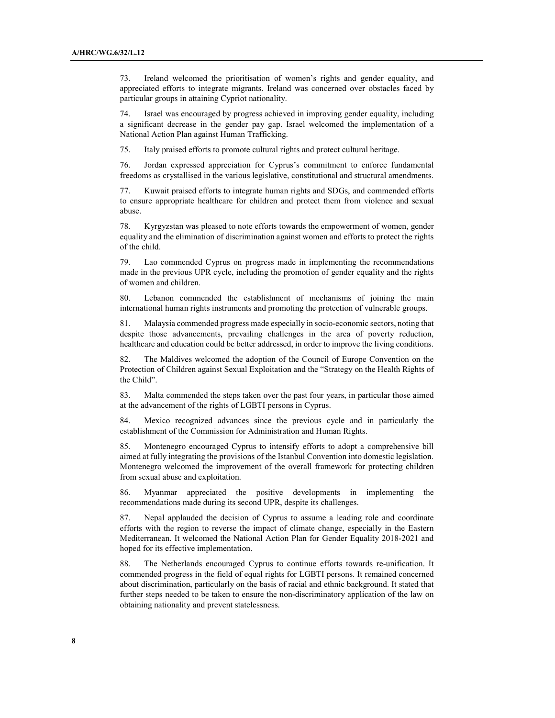73. Ireland welcomed the prioritisation of women's rights and gender equality, and appreciated efforts to integrate migrants. Ireland was concerned over obstacles faced by particular groups in attaining Cypriot nationality.

74. Israel was encouraged by progress achieved in improving gender equality, including a significant decrease in the gender pay gap. Israel welcomed the implementation of a National Action Plan against Human Trafficking.

75. Italy praised efforts to promote cultural rights and protect cultural heritage.

76. Jordan expressed appreciation for Cyprus's commitment to enforce fundamental freedoms as crystallised in the various legislative, constitutional and structural amendments.

77. Kuwait praised efforts to integrate human rights and SDGs, and commended efforts to ensure appropriate healthcare for children and protect them from violence and sexual abuse.

78. Kyrgyzstan was pleased to note efforts towards the empowerment of women, gender equality and the elimination of discrimination against women and efforts to protect the rights of the child.

79. Lao commended Cyprus on progress made in implementing the recommendations made in the previous UPR cycle, including the promotion of gender equality and the rights of women and children.

80. Lebanon commended the establishment of mechanisms of joining the main international human rights instruments and promoting the protection of vulnerable groups.

81. Malaysia commended progress made especially in socio-economic sectors, noting that despite those advancements, prevailing challenges in the area of poverty reduction, healthcare and education could be better addressed, in order to improve the living conditions.

82. The Maldives welcomed the adoption of the Council of Europe Convention on the Protection of Children against Sexual Exploitation and the "Strategy on the Health Rights of the Child".

83. Malta commended the steps taken over the past four years, in particular those aimed at the advancement of the rights of LGBTI persons in Cyprus.

84. Mexico recognized advances since the previous cycle and in particularly the establishment of the Commission for Administration and Human Rights.

85. Montenegro encouraged Cyprus to intensify efforts to adopt a comprehensive bill aimed at fully integrating the provisions of the Istanbul Convention into domestic legislation. Montenegro welcomed the improvement of the overall framework for protecting children from sexual abuse and exploitation.

86. Myanmar appreciated the positive developments in implementing the recommendations made during its second UPR, despite its challenges.

87. Nepal applauded the decision of Cyprus to assume a leading role and coordinate efforts with the region to reverse the impact of climate change, especially in the Eastern Mediterranean. It welcomed the National Action Plan for Gender Equality 2018-2021 and hoped for its effective implementation.

88. The Netherlands encouraged Cyprus to continue efforts towards re-unification. It commended progress in the field of equal rights for LGBTI persons. It remained concerned about discrimination, particularly on the basis of racial and ethnic background. It stated that further steps needed to be taken to ensure the non-discriminatory application of the law on obtaining nationality and prevent statelessness.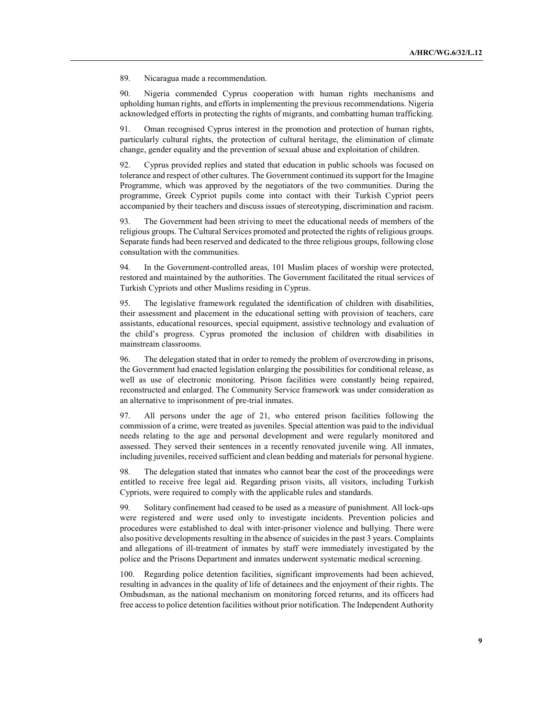89. Nicaragua made a recommendation.

90. Nigeria commended Cyprus cooperation with human rights mechanisms and upholding human rights, and efforts in implementing the previous recommendations. Nigeria acknowledged efforts in protecting the rights of migrants, and combatting human trafficking.

Oman recognised Cyprus interest in the promotion and protection of human rights, particularly cultural rights, the protection of cultural heritage, the elimination of climate change, gender equality and the prevention of sexual abuse and exploitation of children.

92. Cyprus provided replies and stated that education in public schools was focused on tolerance and respect of other cultures. The Government continued its support for the Imagine Programme, which was approved by the negotiators of the two communities. During the programme, Greek Cypriot pupils come into contact with their Turkish Cypriot peers accompanied by their teachers and discuss issues of stereotyping, discrimination and racism.

93. The Government had been striving to meet the educational needs of members of the religious groups. The Cultural Services promoted and protected the rights of religious groups. Separate funds had been reserved and dedicated to the three religious groups, following close consultation with the communities.

94. In the Government-controlled areas, 101 Muslim places of worship were protected, restored and maintained by the authorities. The Government facilitated the ritual services of Turkish Cypriots and other Muslims residing in Cyprus.

95. The legislative framework regulated the identification of children with disabilities, their assessment and placement in the educational setting with provision of teachers, care assistants, educational resources, special equipment, assistive technology and evaluation of the child's progress. Cyprus promoted the inclusion of children with disabilities in mainstream classrooms.

96. The delegation stated that in order to remedy the problem of overcrowding in prisons, the Government had enacted legislation enlarging the possibilities for conditional release, as well as use of electronic monitoring. Prison facilities were constantly being repaired, reconstructed and enlarged. The Community Service framework was under consideration as an alternative to imprisonment of pre-trial inmates.

97. All persons under the age of 21, who entered prison facilities following the commission of a crime, were treated as juveniles. Special attention was paid to the individual needs relating to the age and personal development and were regularly monitored and assessed. They served their sentences in a recently renovated juvenile wing. All inmates, including juveniles, received sufficient and clean bedding and materials for personal hygiene.

98. The delegation stated that inmates who cannot bear the cost of the proceedings were entitled to receive free legal aid. Regarding prison visits, all visitors, including Turkish Cypriots, were required to comply with the applicable rules and standards.

99. Solitary confinement had ceased to be used as a measure of punishment. All lock-ups were registered and were used only to investigate incidents. Prevention policies and procedures were established to deal with inter-prisoner violence and bullying. There were also positive developments resulting in the absence of suicides in the past 3 years. Complaints and allegations of ill-treatment of inmates by staff were immediately investigated by the police and the Prisons Department and inmates underwent systematic medical screening.

100. Regarding police detention facilities, significant improvements had been achieved, resulting in advances in the quality of life of detainees and the enjoyment of their rights. The Ombudsman, as the national mechanism on monitoring forced returns, and its officers had free access to police detention facilities without prior notification. The Independent Authority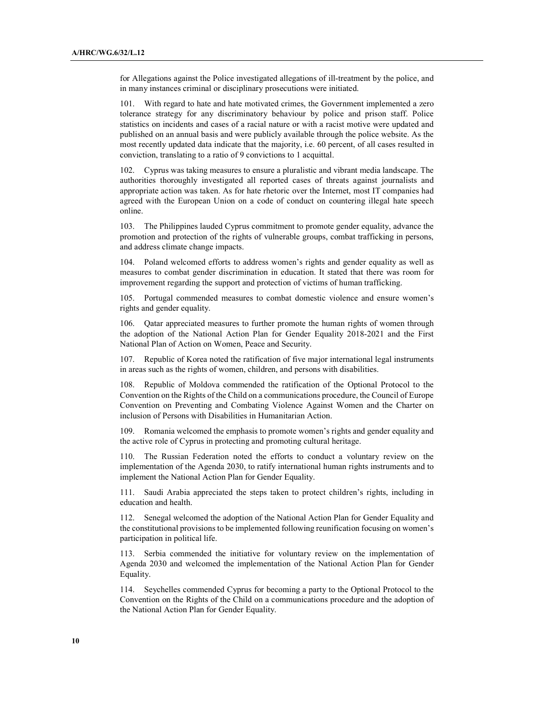for Allegations against the Police investigated allegations of ill-treatment by the police, and in many instances criminal or disciplinary prosecutions were initiated.

101. With regard to hate and hate motivated crimes, the Government implemented a zero tolerance strategy for any discriminatory behaviour by police and prison staff. Police statistics on incidents and cases of a racial nature or with a racist motive were updated and published on an annual basis and were publicly available through the police website. As the most recently updated data indicate that the majority, i.e. 60 percent, of all cases resulted in conviction, translating to a ratio of 9 convictions to 1 acquittal.

102. Cyprus was taking measures to ensure a pluralistic and vibrant media landscape. The authorities thoroughly investigated all reported cases of threats against journalists and appropriate action was taken. As for hate rhetoric over the Internet, most IT companies had agreed with the European Union on a code of conduct on countering illegal hate speech online.

103. The Philippines lauded Cyprus commitment to promote gender equality, advance the promotion and protection of the rights of vulnerable groups, combat trafficking in persons, and address climate change impacts.

104. Poland welcomed efforts to address women's rights and gender equality as well as measures to combat gender discrimination in education. It stated that there was room for improvement regarding the support and protection of victims of human trafficking.

105. Portugal commended measures to combat domestic violence and ensure women's rights and gender equality.

106. Qatar appreciated measures to further promote the human rights of women through the adoption of the National Action Plan for Gender Equality 2018-2021 and the First National Plan of Action on Women, Peace and Security.

107. Republic of Korea noted the ratification of five major international legal instruments in areas such as the rights of women, children, and persons with disabilities.

108. Republic of Moldova commended the ratification of the Optional Protocol to the Convention on the Rights of the Child on a communications procedure, the Council of Europe Convention on Preventing and Combating Violence Against Women and the Charter on inclusion of Persons with Disabilities in Humanitarian Action.

109. Romania welcomed the emphasis to promote women's rights and gender equality and the active role of Cyprus in protecting and promoting cultural heritage.

110. The Russian Federation noted the efforts to conduct a voluntary review on the implementation of the Agenda 2030, to ratify international human rights instruments and to implement the National Action Plan for Gender Equality.

111. Saudi Arabia appreciated the steps taken to protect children's rights, including in education and health.

112. Senegal welcomed the adoption of the National Action Plan for Gender Equality and the constitutional provisions to be implemented following reunification focusing on women's participation in political life.

113. Serbia commended the initiative for voluntary review on the implementation of Agenda 2030 and welcomed the implementation of the National Action Plan for Gender Equality.

114. Seychelles commended Cyprus for becoming a party to the Optional Protocol to the Convention on the Rights of the Child on a communications procedure and the adoption of the National Action Plan for Gender Equality.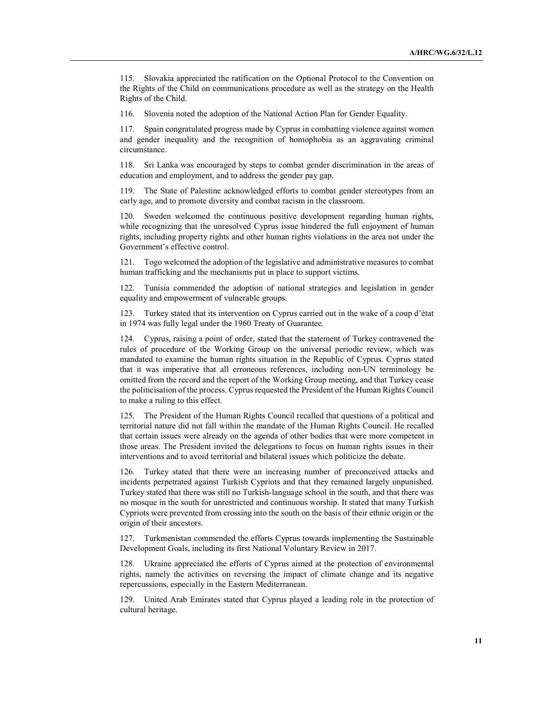115. Slovakia appreciated the ratification on the Optional Protocol to the Convention on the Rights of the Child on communications procedure as well as the strategy on the Health Rights of the Child.

116. Slovenia noted the adoption of the National Action Plan for Gender Equality.

117. Spain congratulated progress made by Cyprus in combatting violence against women and gender inequality and the recognition of homophobia as an aggravating criminal circumstance.

118. Sri Lanka was encouraged by steps to combat gender discrimination in the areas of education and employment, and to address the gender pay gap.

119. The State of Palestine acknowledged efforts to combat gender stereotypes from an early age, and to promote diversity and combat racism in the classroom.

120. Sweden welcomed the continuous positive development regarding human rights, while recognizing that the unresolved Cyprus issue hindered the full enjoyment of human rights, including property rights and other human rights violations in the area not under the Government's effective control.

121. Togo welcomed the adoption of the legislative and administrative measures to combat human trafficking and the mechanisms put in place to support victims.

122. Tunisia commended the adoption of national strategies and legislation in gender equality and empowerment of vulnerable groups.

123. Turkey stated that its intervention on Cyprus carried out in the wake of a coup d'état in 1974 was fully legal under the 1960 Treaty of Guarantee.

124. Cyprus, raising a point of order, stated that the statement of Turkey contravened the rules of procedure of the Working Group on the universal periodic review, which was mandated to examine the human rights situation in the Republic of Cyprus. Cyprus stated that it was imperative that all erroneous references, including non-UN terminology be omitted from the record and the report of the Working Group meeting, and that Turkey cease the politicisation of the process. Cyprus requested the President of the Human Rights Council to make a ruling to this effect.

125. The President of the Human Rights Council recalled that questions of a political and territorial nature did not fall within the mandate of the Human Rights Council. He recalled that certain issues were already on the agenda of other bodies that were more competent in those areas. The President invited the delegations to focus on human rights issues in their interventions and to avoid territorial and bilateral issues which politicize the debate.

126. Turkey stated that there were an increasing number of preconceived attacks and incidents perpetrated against Turkish Cypriots and that they remained largely unpunished. Turkey stated that there was still no Turkish-language school in the south, and that there was no mosque in the south for unrestricted and continuous worship. It stated that many Turkish Cypriots were prevented from crossing into the south on the basis of their ethnic origin or the origin of their ancestors.

127. Turkmenistan commended the efforts Cyprus towards implementing the Sustainable Development Goals, including its first National Voluntary Review in 2017.

128. Ukraine appreciated the efforts of Cyprus aimed at the protection of environmental rights, namely the activities on reversing the impact of climate change and its negative repercussions, especially in the Eastern Mediterranean.

129. United Arab Emirates stated that Cyprus played a leading role in the protection of cultural heritage.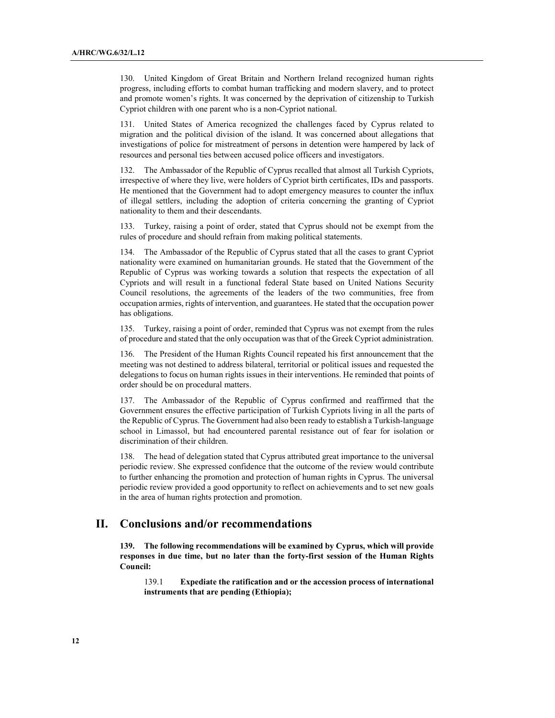130. United Kingdom of Great Britain and Northern Ireland recognized human rights progress, including efforts to combat human trafficking and modern slavery, and to protect and promote women's rights. It was concerned by the deprivation of citizenship to Turkish Cypriot children with one parent who is a non-Cypriot national.

131. United States of America recognized the challenges faced by Cyprus related to migration and the political division of the island. It was concerned about allegations that investigations of police for mistreatment of persons in detention were hampered by lack of resources and personal ties between accused police officers and investigators.

132. The Ambassador of the Republic of Cyprus recalled that almost all Turkish Cypriots, irrespective of where they live, were holders of Cypriot birth certificates, IDs and passports. He mentioned that the Government had to adopt emergency measures to counter the influx of illegal settlers, including the adoption of criteria concerning the granting of Cypriot nationality to them and their descendants.

133. Turkey, raising a point of order, stated that Cyprus should not be exempt from the rules of procedure and should refrain from making political statements.

134. The Ambassador of the Republic of Cyprus stated that all the cases to grant Cypriot nationality were examined on humanitarian grounds. He stated that the Government of the Republic of Cyprus was working towards a solution that respects the expectation of all Cypriots and will result in a functional federal State based on United Nations Security Council resolutions, the agreements of the leaders of the two communities, free from occupation armies, rights of intervention, and guarantees. He stated that the occupation power has obligations.

135. Turkey, raising a point of order, reminded that Cyprus was not exempt from the rules of procedure and stated that the only occupation was that of the Greek Cypriot administration.

The President of the Human Rights Council repeated his first announcement that the meeting was not destined to address bilateral, territorial or political issues and requested the delegations to focus on human rights issues in their interventions. He reminded that points of order should be on procedural matters.

137. The Ambassador of the Republic of Cyprus confirmed and reaffirmed that the Government ensures the effective participation of Turkish Cypriots living in all the parts of the Republic of Cyprus. The Government had also been ready to establish a Turkish-language school in Limassol, but had encountered parental resistance out of fear for isolation or discrimination of their children.

138. The head of delegation stated that Cyprus attributed great importance to the universal periodic review. She expressed confidence that the outcome of the review would contribute to further enhancing the promotion and protection of human rights in Cyprus. The universal periodic review provided a good opportunity to reflect on achievements and to set new goals in the area of human rights protection and promotion.

## II. Conclusions and/or recommendations

139. The following recommendations will be examined by Cyprus, which will provide responses in due time, but no later than the forty-first session of the Human Rights Council:

139.1 Expediate the ratification and or the accession process of international instruments that are pending (Ethiopia);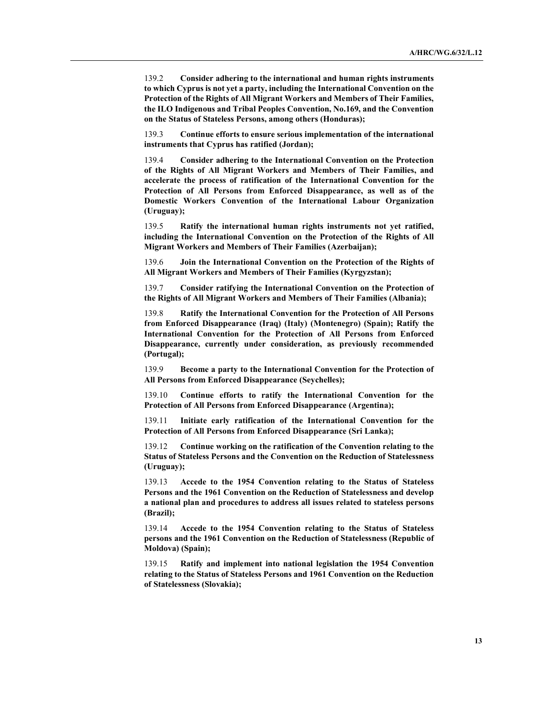139.2 Consider adhering to the international and human rights instruments to which Cyprus is not yet a party, including the International Convention on the Protection of the Rights of All Migrant Workers and Members of Their Families, the ILO Indigenous and Tribal Peoples Convention, No.169, and the Convention on the Status of Stateless Persons, among others (Honduras);

139.3 Continue efforts to ensure serious implementation of the international instruments that Cyprus has ratified (Jordan);

139.4 Consider adhering to the International Convention on the Protection of the Rights of All Migrant Workers and Members of Their Families, and accelerate the process of ratification of the International Convention for the Protection of All Persons from Enforced Disappearance, as well as of the Domestic Workers Convention of the International Labour Organization (Uruguay);

139.5 Ratify the international human rights instruments not yet ratified, including the International Convention on the Protection of the Rights of All Migrant Workers and Members of Their Families (Azerbaijan);

139.6 Join the International Convention on the Protection of the Rights of All Migrant Workers and Members of Their Families (Kyrgyzstan);

139.7 Consider ratifying the International Convention on the Protection of the Rights of All Migrant Workers and Members of Their Families (Albania);

139.8 Ratify the International Convention for the Protection of All Persons from Enforced Disappearance (Iraq) (Italy) (Montenegro) (Spain); Ratify the International Convention for the Protection of All Persons from Enforced Disappearance, currently under consideration, as previously recommended (Portugal);

139.9 Become a party to the International Convention for the Protection of All Persons from Enforced Disappearance (Seychelles);

139.10 Continue efforts to ratify the International Convention for the Protection of All Persons from Enforced Disappearance (Argentina);

139.11 Initiate early ratification of the International Convention for the Protection of All Persons from Enforced Disappearance (Sri Lanka);

139.12 Continue working on the ratification of the Convention relating to the Status of Stateless Persons and the Convention on the Reduction of Statelessness (Uruguay);

139.13 Accede to the 1954 Convention relating to the Status of Stateless Persons and the 1961 Convention on the Reduction of Statelessness and develop a national plan and procedures to address all issues related to stateless persons (Brazil);

139.14 Accede to the 1954 Convention relating to the Status of Stateless persons and the 1961 Convention on the Reduction of Statelessness (Republic of Moldova) (Spain);

139.15 Ratify and implement into national legislation the 1954 Convention relating to the Status of Stateless Persons and 1961 Convention on the Reduction of Statelessness (Slovakia);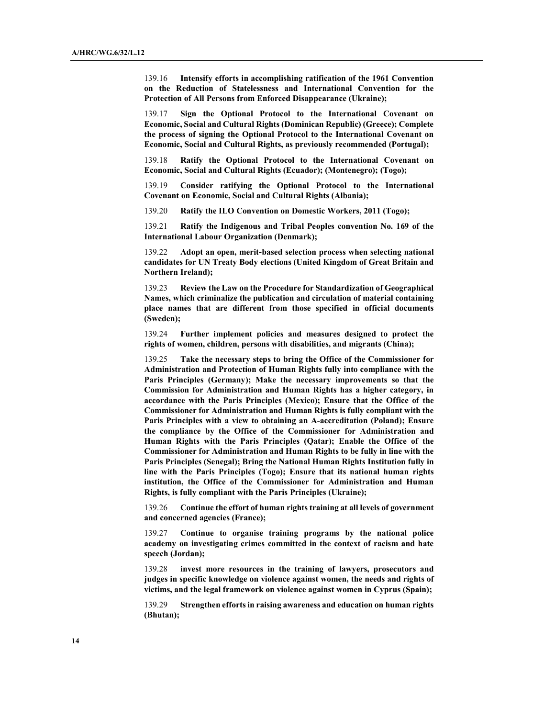139.16 Intensify efforts in accomplishing ratification of the 1961 Convention on the Reduction of Statelessness and International Convention for the Protection of All Persons from Enforced Disappearance (Ukraine);

139.17 Sign the Optional Protocol to the International Covenant on Economic, Social and Cultural Rights (Dominican Republic) (Greece); Complete the process of signing the Optional Protocol to the International Covenant on Economic, Social and Cultural Rights, as previously recommended (Portugal);

139.18 Ratify the Optional Protocol to the International Covenant on Economic, Social and Cultural Rights (Ecuador); (Montenegro); (Togo);

139.19 Consider ratifying the Optional Protocol to the International Covenant on Economic, Social and Cultural Rights (Albania);

139.20 Ratify the ILO Convention on Domestic Workers, 2011 (Togo);

139.21 Ratify the Indigenous and Tribal Peoples convention No. 169 of the International Labour Organization (Denmark);

139.22 Adopt an open, merit-based selection process when selecting national candidates for UN Treaty Body elections (United Kingdom of Great Britain and Northern Ireland);

139.23 Review the Law on the Procedure for Standardization of Geographical Names, which criminalize the publication and circulation of material containing place names that are different from those specified in official documents (Sweden);

139.24 Further implement policies and measures designed to protect the rights of women, children, persons with disabilities, and migrants (China);

139.25 Take the necessary steps to bring the Office of the Commissioner for Administration and Protection of Human Rights fully into compliance with the Paris Principles (Germany); Make the necessary improvements so that the Commission for Administration and Human Rights has a higher category, in accordance with the Paris Principles (Mexico); Ensure that the Office of the Commissioner for Administration and Human Rights is fully compliant with the Paris Principles with a view to obtaining an A-accreditation (Poland); Ensure the compliance by the Office of the Commissioner for Administration and Human Rights with the Paris Principles (Qatar); Enable the Office of the Commissioner for Administration and Human Rights to be fully in line with the Paris Principles (Senegal); Bring the National Human Rights Institution fully in line with the Paris Principles (Togo); Ensure that its national human rights institution, the Office of the Commissioner for Administration and Human Rights, is fully compliant with the Paris Principles (Ukraine);

139.26 Continue the effort of human rights training at all levels of government and concerned agencies (France);

139.27 Continue to organise training programs by the national police academy on investigating crimes committed in the context of racism and hate speech (Jordan);

139.28 invest more resources in the training of lawyers, prosecutors and judges in specific knowledge on violence against women, the needs and rights of victims, and the legal framework on violence against women in Cyprus (Spain);

139.29 Strengthen efforts in raising awareness and education on human rights (Bhutan);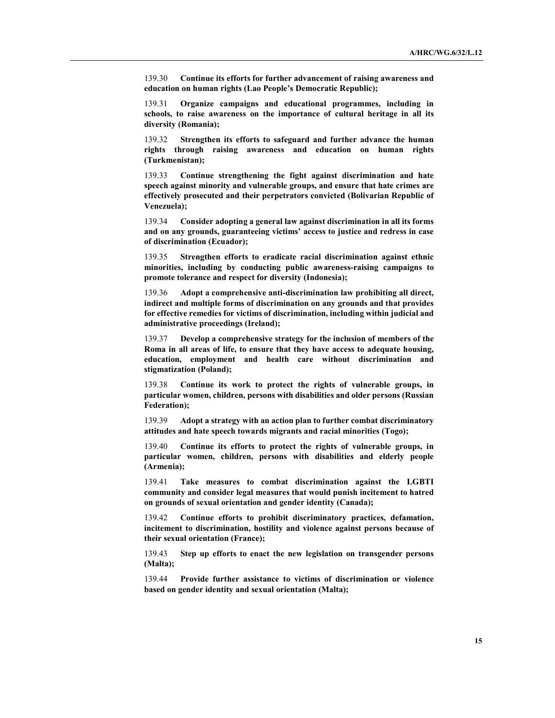139.30 Continue its efforts for further advancement of raising awareness and education on human rights (Lao People's Democratic Republic);

139.31 Organize campaigns and educational programmes, including in schools, to raise awareness on the importance of cultural heritage in all its diversity (Romania);

139.32 Strengthen its efforts to safeguard and further advance the human rights through raising awareness and education on human rights (Turkmenistan);

139.33 Continue strengthening the fight against discrimination and hate speech against minority and vulnerable groups, and ensure that hate crimes are effectively prosecuted and their perpetrators convicted (Bolivarian Republic of Venezuela);

139.34 Consider adopting a general law against discrimination in all its forms and on any grounds, guaranteeing victims' access to justice and redress in case of discrimination (Ecuador);

139.35 Strengthen efforts to eradicate racial discrimination against ethnic minorities, including by conducting public awareness-raising campaigns to promote tolerance and respect for diversity (Indonesia);

139.36 Adopt a comprehensive anti-discrimination law prohibiting all direct, indirect and multiple forms of discrimination on any grounds and that provides for effective remedies for victims of discrimination, including within judicial and administrative proceedings (Ireland);

139.37 Develop a comprehensive strategy for the inclusion of members of the Roma in all areas of life, to ensure that they have access to adequate housing, education, employment and health care without discrimination and stigmatization (Poland);

139.38 Continue its work to protect the rights of vulnerable groups, in particular women, children, persons with disabilities and older persons (Russian Federation);

139.39 Adopt a strategy with an action plan to further combat discriminatory attitudes and hate speech towards migrants and racial minorities (Togo);

139.40 Continue its efforts to protect the rights of vulnerable groups, in particular women, children, persons with disabilities and elderly people (Armenia);

139.41 Take measures to combat discrimination against the LGBTI community and consider legal measures that would punish incitement to hatred on grounds of sexual orientation and gender identity (Canada);

139.42 Continue efforts to prohibit discriminatory practices, defamation, incitement to discrimination, hostility and violence against persons because of their sexual orientation (France);

139.43 Step up efforts to enact the new legislation on transgender persons (Malta);

139.44 Provide further assistance to victims of discrimination or violence based on gender identity and sexual orientation (Malta);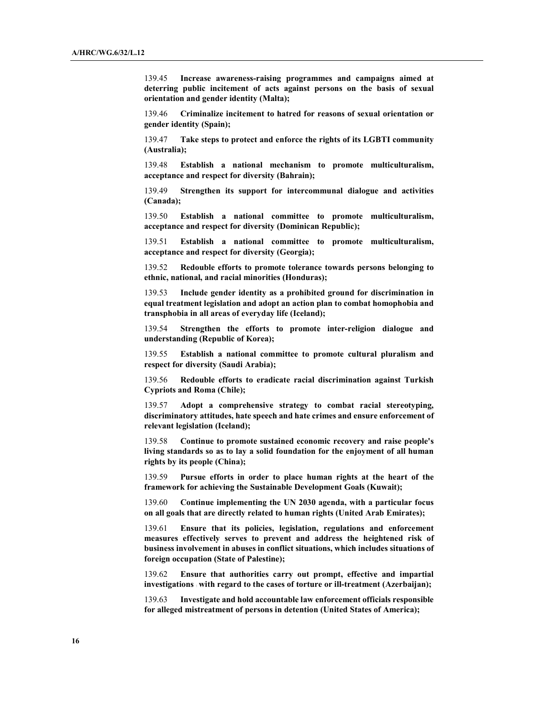139.45 Increase awareness-raising programmes and campaigns aimed at deterring public incitement of acts against persons on the basis of sexual orientation and gender identity (Malta);

139.46 Criminalize incitement to hatred for reasons of sexual orientation or gender identity (Spain);

139.47 Take steps to protect and enforce the rights of its LGBTI community (Australia);

139.48 Establish a national mechanism to promote multiculturalism, acceptance and respect for diversity (Bahrain);

139.49 Strengthen its support for intercommunal dialogue and activities (Canada);

139.50 Establish a national committee to promote multiculturalism, acceptance and respect for diversity (Dominican Republic);

139.51 Establish a national committee to promote multiculturalism, acceptance and respect for diversity (Georgia);

139.52 Redouble efforts to promote tolerance towards persons belonging to ethnic, national, and racial minorities (Honduras);

139.53 Include gender identity as a prohibited ground for discrimination in equal treatment legislation and adopt an action plan to combat homophobia and transphobia in all areas of everyday life (Iceland);

139.54 Strengthen the efforts to promote inter-religion dialogue and understanding (Republic of Korea);

139.55 Establish a national committee to promote cultural pluralism and respect for diversity (Saudi Arabia);

139.56 Redouble efforts to eradicate racial discrimination against Turkish Cypriots and Roma (Chile);

139.57 Adopt a comprehensive strategy to combat racial stereotyping, discriminatory attitudes, hate speech and hate crimes and ensure enforcement of relevant legislation (Iceland);

139.58 Continue to promote sustained economic recovery and raise people's living standards so as to lay a solid foundation for the enjoyment of all human rights by its people (China);

139.59 Pursue efforts in order to place human rights at the heart of the framework for achieving the Sustainable Development Goals (Kuwait);

139.60 Continue implementing the UN 2030 agenda, with a particular focus on all goals that are directly related to human rights (United Arab Emirates);

139.61 Ensure that its policies, legislation, regulations and enforcement measures effectively serves to prevent and address the heightened risk of business involvement in abuses in conflict situations, which includes situations of foreign occupation (State of Palestine);

139.62 Ensure that authorities carry out prompt, effective and impartial investigations with regard to the cases of torture or ill-treatment (Azerbaijan);

139.63 Investigate and hold accountable law enforcement officials responsible for alleged mistreatment of persons in detention (United States of America);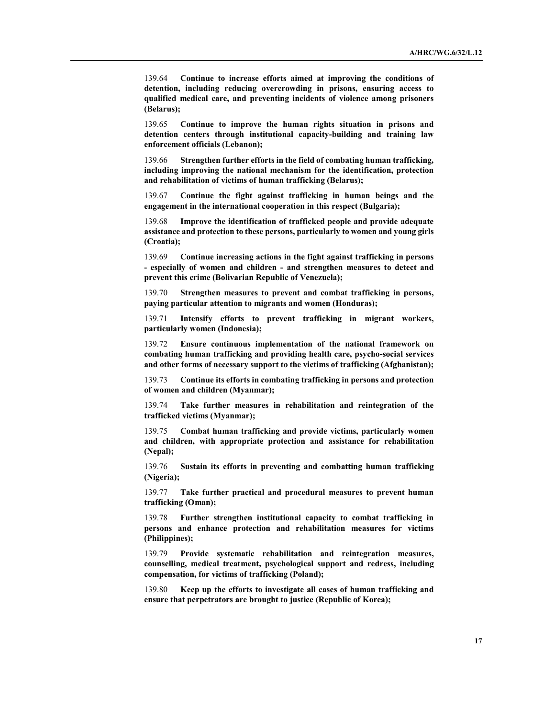139.64 Continue to increase efforts aimed at improving the conditions of detention, including reducing overcrowding in prisons, ensuring access to qualified medical care, and preventing incidents of violence among prisoners (Belarus);

139.65 Continue to improve the human rights situation in prisons and detention centers through institutional capacity-building and training law enforcement officials (Lebanon);

139.66 Strengthen further efforts in the field of combating human trafficking, including improving the national mechanism for the identification, protection and rehabilitation of victims of human trafficking (Belarus);

139.67 Continue the fight against trafficking in human beings and the engagement in the international cooperation in this respect (Bulgaria);

139.68 Improve the identification of trafficked people and provide adequate assistance and protection to these persons, particularly to women and young girls (Croatia);

139.69 Continue increasing actions in the fight against trafficking in persons - especially of women and children - and strengthen measures to detect and prevent this crime (Bolivarian Republic of Venezuela);

139.70 Strengthen measures to prevent and combat trafficking in persons, paying particular attention to migrants and women (Honduras);

139.71 Intensify efforts to prevent trafficking in migrant workers, particularly women (Indonesia);

139.72 Ensure continuous implementation of the national framework on combating human trafficking and providing health care, psycho-social services and other forms of necessary support to the victims of trafficking (Afghanistan);

139.73 Continue its efforts in combating trafficking in persons and protection of women and children (Myanmar);

139.74 Take further measures in rehabilitation and reintegration of the trafficked victims (Myanmar);

139.75 Combat human trafficking and provide victims, particularly women and children, with appropriate protection and assistance for rehabilitation (Nepal);

139.76 Sustain its efforts in preventing and combatting human trafficking (Nigeria);

139.77 Take further practical and procedural measures to prevent human trafficking (Oman);

139.78 Further strengthen institutional capacity to combat trafficking in persons and enhance protection and rehabilitation measures for victims (Philippines);

139.79 Provide systematic rehabilitation and reintegration measures, counselling, medical treatment, psychological support and redress, including compensation, for victims of trafficking (Poland);

139.80 Keep up the efforts to investigate all cases of human trafficking and ensure that perpetrators are brought to justice (Republic of Korea);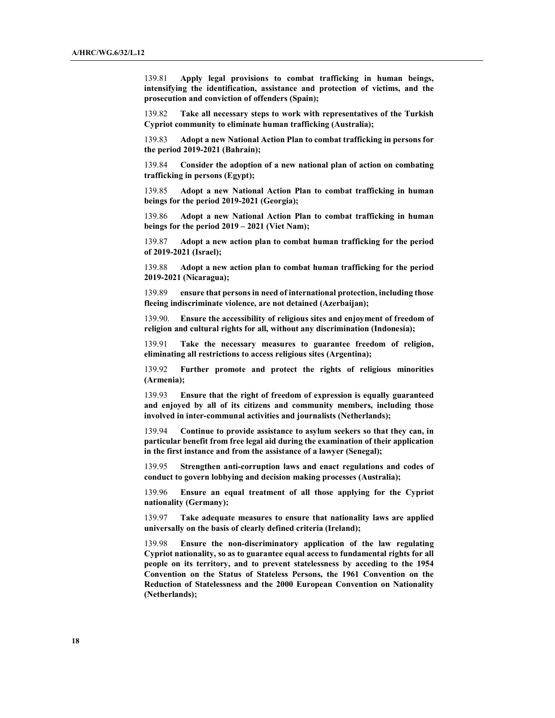139.81 Apply legal provisions to combat trafficking in human beings, intensifying the identification, assistance and protection of victims, and the prosecution and conviction of offenders (Spain);

139.82 Take all necessary steps to work with representatives of the Turkish Cypriot community to eliminate human trafficking (Australia);

139.83 Adopt a new National Action Plan to combat trafficking in persons for the period 2019-2021 (Bahrain);

139.84 Consider the adoption of a new national plan of action on combating trafficking in persons (Egypt);

139.85 Adopt a new National Action Plan to combat trafficking in human beings for the period 2019-2021 (Georgia);

139.86 Adopt a new National Action Plan to combat trafficking in human beings for the period 2019 – 2021 (Viet Nam);

139.87 Adopt a new action plan to combat human trafficking for the period of 2019-2021 (Israel);

139.88 Adopt a new action plan to combat human trafficking for the period 2019-2021 (Nicaragua);

139.89 ensure that persons in need of international protection, including those fleeing indiscriminate violence, are not detained (Azerbaijan);

139.90. Ensure the accessibility of religious sites and enjoyment of freedom of religion and cultural rights for all, without any discrimination (Indonesia);

139.91 Take the necessary measures to guarantee freedom of religion, eliminating all restrictions to access religious sites (Argentina);

139.92 Further promote and protect the rights of religious minorities (Armenia);

139.93 Ensure that the right of freedom of expression is equally guaranteed and enjoyed by all of its citizens and community members, including those involved in inter-communal activities and journalists (Netherlands);

139.94 Continue to provide assistance to asylum seekers so that they can, in particular benefit from free legal aid during the examination of their application in the first instance and from the assistance of a lawyer (Senegal);

139.95 Strengthen anti-corruption laws and enact regulations and codes of conduct to govern lobbying and decision making processes (Australia);

139.96 Ensure an equal treatment of all those applying for the Cypriot nationality (Germany);

139.97 Take adequate measures to ensure that nationality laws are applied universally on the basis of clearly defined criteria (Ireland);

139.98 Ensure the non-discriminatory application of the law regulating Cypriot nationality, so as to guarantee equal access to fundamental rights for all people on its territory, and to prevent statelessness by acceding to the 1954 Convention on the Status of Stateless Persons, the 1961 Convention on the Reduction of Statelessness and the 2000 European Convention on Nationality (Netherlands);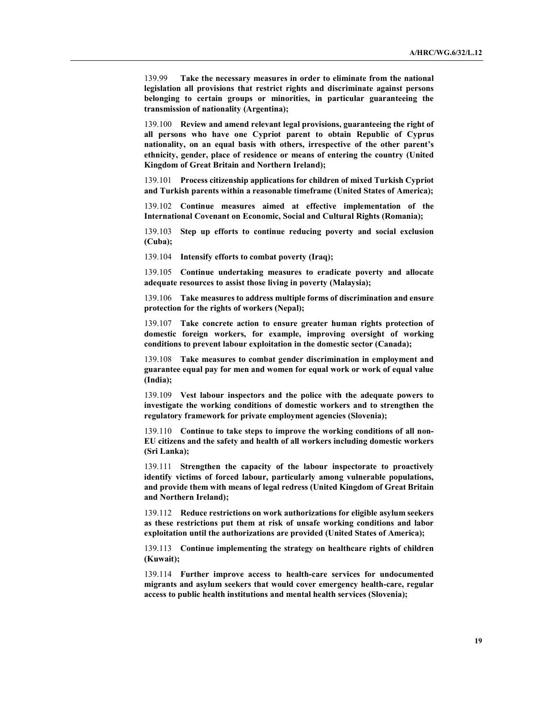139.99 Take the necessary measures in order to eliminate from the national legislation all provisions that restrict rights and discriminate against persons belonging to certain groups or minorities, in particular guaranteeing the transmission of nationality (Argentina);

139.100 Review and amend relevant legal provisions, guaranteeing the right of all persons who have one Cypriot parent to obtain Republic of Cyprus nationality, on an equal basis with others, irrespective of the other parent's ethnicity, gender, place of residence or means of entering the country (United Kingdom of Great Britain and Northern Ireland);

139.101 Process citizenship applications for children of mixed Turkish Cypriot and Turkish parents within a reasonable timeframe (United States of America);

139.102 Continue measures aimed at effective implementation of the International Covenant on Economic, Social and Cultural Rights (Romania);

139.103 Step up efforts to continue reducing poverty and social exclusion (Cuba);

139.104 Intensify efforts to combat poverty (Iraq);

139.105 Continue undertaking measures to eradicate poverty and allocate adequate resources to assist those living in poverty (Malaysia);

139.106 Take measures to address multiple forms of discrimination and ensure protection for the rights of workers (Nepal);

139.107 Take concrete action to ensure greater human rights protection of domestic foreign workers, for example, improving oversight of working conditions to prevent labour exploitation in the domestic sector (Canada);

139.108 Take measures to combat gender discrimination in employment and guarantee equal pay for men and women for equal work or work of equal value (India);

139.109 Vest labour inspectors and the police with the adequate powers to investigate the working conditions of domestic workers and to strengthen the regulatory framework for private employment agencies (Slovenia);

139.110 Continue to take steps to improve the working conditions of all non-EU citizens and the safety and health of all workers including domestic workers (Sri Lanka);

139.111 Strengthen the capacity of the labour inspectorate to proactively identify victims of forced labour, particularly among vulnerable populations, and provide them with means of legal redress (United Kingdom of Great Britain and Northern Ireland);

139.112 Reduce restrictions on work authorizations for eligible asylum seekers as these restrictions put them at risk of unsafe working conditions and labor exploitation until the authorizations are provided (United States of America);

139.113 Continue implementing the strategy on healthcare rights of children (Kuwait);

139.114 Further improve access to health-care services for undocumented migrants and asylum seekers that would cover emergency health-care, regular access to public health institutions and mental health services (Slovenia);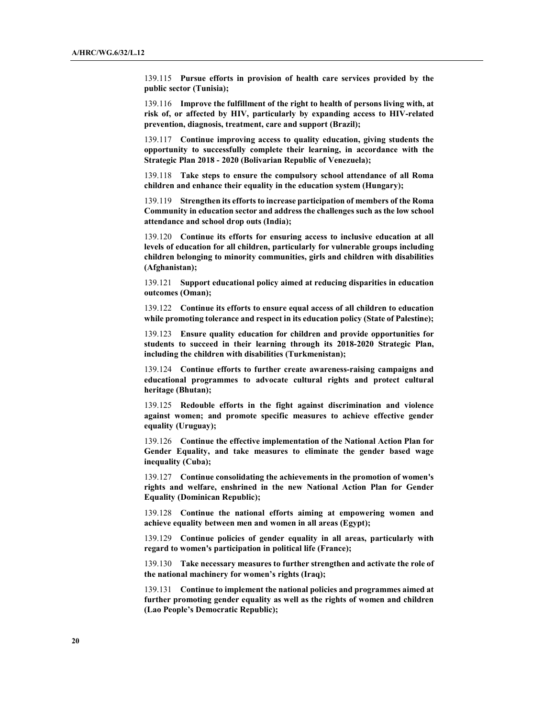139.115 Pursue efforts in provision of health care services provided by the public sector (Tunisia);

139.116 Improve the fulfillment of the right to health of persons living with, at risk of, or affected by HIV, particularly by expanding access to HIV-related prevention, diagnosis, treatment, care and support (Brazil);

139.117 Continue improving access to quality education, giving students the opportunity to successfully complete their learning, in accordance with the Strategic Plan 2018 - 2020 (Bolivarian Republic of Venezuela);

139.118 Take steps to ensure the compulsory school attendance of all Roma children and enhance their equality in the education system (Hungary);

139.119 Strengthen its efforts to increase participation of members of the Roma Community in education sector and address the challenges such as the low school attendance and school drop outs (India);

139.120 Continue its efforts for ensuring access to inclusive education at all levels of education for all children, particularly for vulnerable groups including children belonging to minority communities, girls and children with disabilities (Afghanistan);

139.121 Support educational policy aimed at reducing disparities in education outcomes (Oman);

139.122 Continue its efforts to ensure equal access of all children to education while promoting tolerance and respect in its education policy (State of Palestine);

139.123 Ensure quality education for children and provide opportunities for students to succeed in their learning through its 2018-2020 Strategic Plan, including the children with disabilities (Turkmenistan);

139.124 Continue efforts to further create awareness-raising campaigns and educational programmes to advocate cultural rights and protect cultural heritage (Bhutan);

139.125 Redouble efforts in the fight against discrimination and violence against women; and promote specific measures to achieve effective gender equality (Uruguay);

139.126 Continue the effective implementation of the National Action Plan for Gender Equality, and take measures to eliminate the gender based wage inequality (Cuba);

139.127 Continue consolidating the achievements in the promotion of women's rights and welfare, enshrined in the new National Action Plan for Gender Equality (Dominican Republic);

139.128 Continue the national efforts aiming at empowering women and achieve equality between men and women in all areas (Egypt);

139.129 Continue policies of gender equality in all areas, particularly with regard to women's participation in political life (France);

139.130 Take necessary measures to further strengthen and activate the role of the national machinery for women's rights (Iraq);

139.131 Continue to implement the national policies and programmes aimed at further promoting gender equality as well as the rights of women and children (Lao People's Democratic Republic);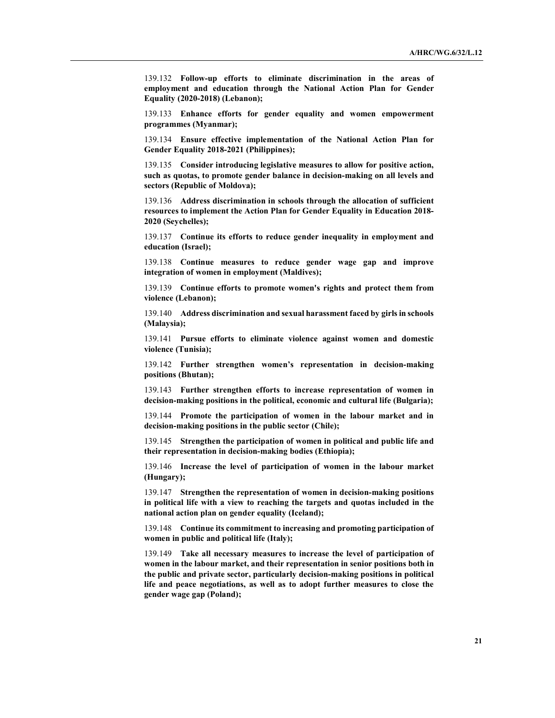139.132 Follow-up efforts to eliminate discrimination in the areas of employment and education through the National Action Plan for Gender Equality (2020-2018) (Lebanon);

139.133 Enhance efforts for gender equality and women empowerment programmes (Myanmar);

139.134 Ensure effective implementation of the National Action Plan for Gender Equality 2018-2021 (Philippines);

139.135 Consider introducing legislative measures to allow for positive action, such as quotas, to promote gender balance in decision-making on all levels and sectors (Republic of Moldova);

139.136 Address discrimination in schools through the allocation of sufficient resources to implement the Action Plan for Gender Equality in Education 2018- 2020 (Seychelles);

139.137 Continue its efforts to reduce gender inequality in employment and education (Israel);

139.138 Continue measures to reduce gender wage gap and improve integration of women in employment (Maldives);

139.139 Continue efforts to promote women's rights and protect them from violence (Lebanon);

139.140 Address discrimination and sexual harassment faced by girls in schools (Malaysia);

139.141 Pursue efforts to eliminate violence against women and domestic violence (Tunisia);

139.142 Further strengthen women's representation in decision-making positions (Bhutan);

139.143 Further strengthen efforts to increase representation of women in decision-making positions in the political, economic and cultural life (Bulgaria);

139.144 Promote the participation of women in the labour market and in decision-making positions in the public sector (Chile);

139.145 Strengthen the participation of women in political and public life and their representation in decision-making bodies (Ethiopia);

139.146 Increase the level of participation of women in the labour market (Hungary);

139.147 Strengthen the representation of women in decision-making positions in political life with a view to reaching the targets and quotas included in the national action plan on gender equality (Iceland);

139.148 Continue its commitment to increasing and promoting participation of women in public and political life (Italy);

139.149 Take all necessary measures to increase the level of participation of women in the labour market, and their representation in senior positions both in the public and private sector, particularly decision-making positions in political life and peace negotiations, as well as to adopt further measures to close the gender wage gap (Poland);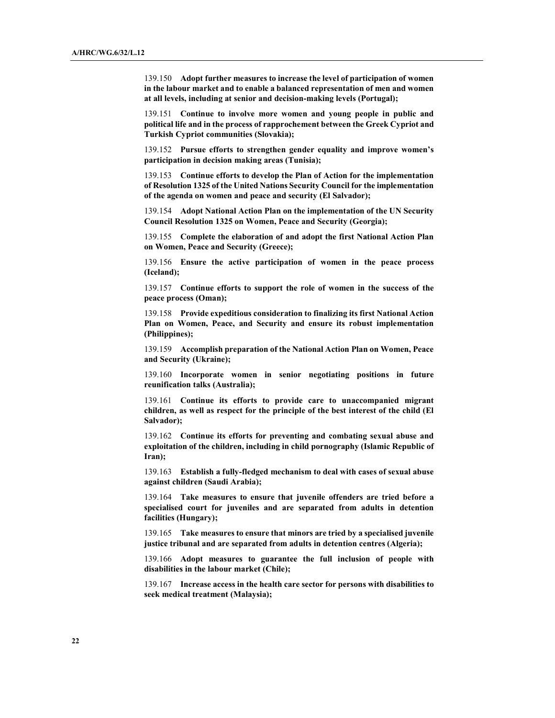139.150 Adopt further measures to increase the level of participation of women in the labour market and to enable a balanced representation of men and women at all levels, including at senior and decision-making levels (Portugal);

139.151 Continue to involve more women and young people in public and political life and in the process of rapprochement between the Greek Cypriot and Turkish Cypriot communities (Slovakia);

139.152 Pursue efforts to strengthen gender equality and improve women's participation in decision making areas (Tunisia);

139.153 Continue efforts to develop the Plan of Action for the implementation of Resolution 1325 of the United Nations Security Council for the implementation of the agenda on women and peace and security (El Salvador);

139.154 Adopt National Action Plan on the implementation of the UN Security Council Resolution 1325 on Women, Peace and Security (Georgia);

139.155 Complete the elaboration of and adopt the first National Action Plan on Women, Peace and Security (Greece);

139.156 Ensure the active participation of women in the peace process (Iceland);

139.157 Continue efforts to support the role of women in the success of the peace process (Oman);

139.158 Provide expeditious consideration to finalizing its first National Action Plan on Women, Peace, and Security and ensure its robust implementation (Philippines);

139.159 Accomplish preparation of the National Action Plan on Women, Peace and Security (Ukraine);

139.160 Incorporate women in senior negotiating positions in future reunification talks (Australia);

139.161 Continue its efforts to provide care to unaccompanied migrant children, as well as respect for the principle of the best interest of the child (El Salvador);

139.162 Continue its efforts for preventing and combating sexual abuse and exploitation of the children, including in child pornography (Islamic Republic of Iran);

139.163 Establish a fully-fledged mechanism to deal with cases of sexual abuse against children (Saudi Arabia);

139.164 Take measures to ensure that juvenile offenders are tried before a specialised court for juveniles and are separated from adults in detention facilities (Hungary);

139.165 Take measures to ensure that minors are tried by a specialised juvenile justice tribunal and are separated from adults in detention centres (Algeria);

139.166 Adopt measures to guarantee the full inclusion of people with disabilities in the labour market (Chile);

139.167 Increase access in the health care sector for persons with disabilities to seek medical treatment (Malaysia);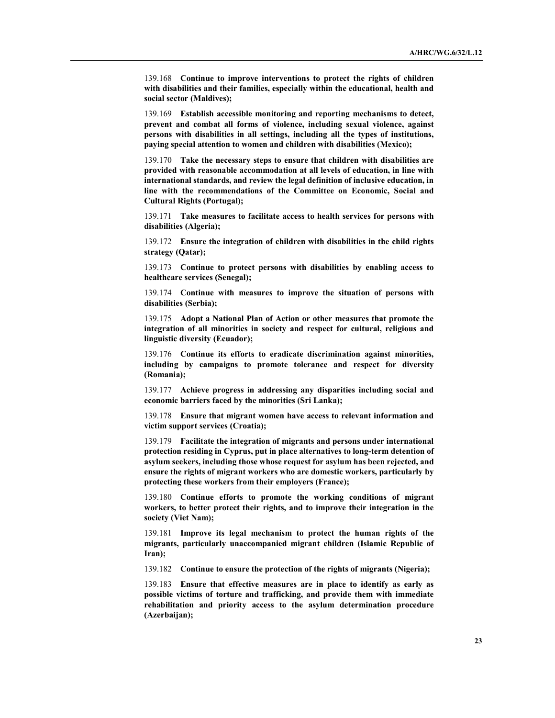139.168 Continue to improve interventions to protect the rights of children with disabilities and their families, especially within the educational, health and social sector (Maldives);

139.169 Establish accessible monitoring and reporting mechanisms to detect, prevent and combat all forms of violence, including sexual violence, against persons with disabilities in all settings, including all the types of institutions, paying special attention to women and children with disabilities (Mexico);

139.170 Take the necessary steps to ensure that children with disabilities are provided with reasonable accommodation at all levels of education, in line with international standards, and review the legal definition of inclusive education, in line with the recommendations of the Committee on Economic, Social and Cultural Rights (Portugal);

139.171 Take measures to facilitate access to health services for persons with disabilities (Algeria);

139.172 Ensure the integration of children with disabilities in the child rights strategy (Qatar);

139.173 Continue to protect persons with disabilities by enabling access to healthcare services (Senegal);

139.174 Continue with measures to improve the situation of persons with disabilities (Serbia);

139.175 Adopt a National Plan of Action or other measures that promote the integration of all minorities in society and respect for cultural, religious and linguistic diversity (Ecuador);

139.176 Continue its efforts to eradicate discrimination against minorities, including by campaigns to promote tolerance and respect for diversity (Romania);

139.177 Achieve progress in addressing any disparities including social and economic barriers faced by the minorities (Sri Lanka);

139.178 Ensure that migrant women have access to relevant information and victim support services (Croatia);

139.179 Facilitate the integration of migrants and persons under international protection residing in Cyprus, put in place alternatives to long-term detention of asylum seekers, including those whose request for asylum has been rejected, and ensure the rights of migrant workers who are domestic workers, particularly by protecting these workers from their employers (France);

139.180 Continue efforts to promote the working conditions of migrant workers, to better protect their rights, and to improve their integration in the society (Viet Nam);

139.181 Improve its legal mechanism to protect the human rights of the migrants, particularly unaccompanied migrant children (Islamic Republic of Iran);

139.182 Continue to ensure the protection of the rights of migrants (Nigeria);

139.183 Ensure that effective measures are in place to identify as early as possible victims of torture and trafficking, and provide them with immediate rehabilitation and priority access to the asylum determination procedure (Azerbaijan);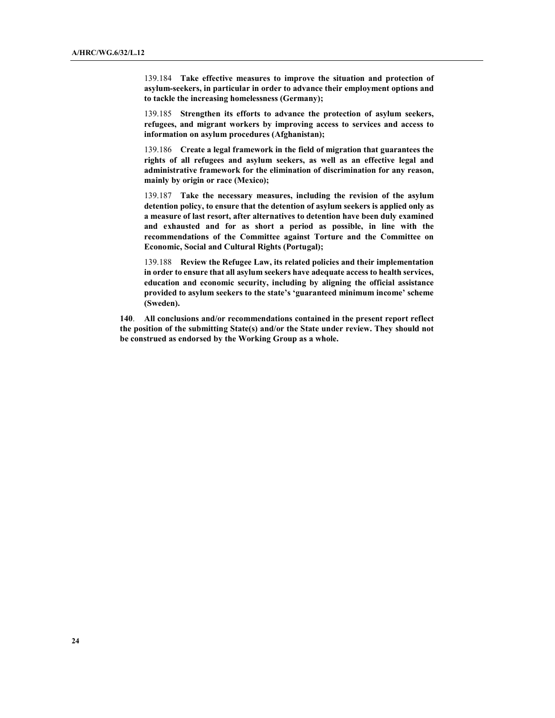139.184 Take effective measures to improve the situation and protection of asylum-seekers, in particular in order to advance their employment options and to tackle the increasing homelessness (Germany);

139.185 Strengthen its efforts to advance the protection of asylum seekers, refugees, and migrant workers by improving access to services and access to information on asylum procedures (Afghanistan);

139.186 Create a legal framework in the field of migration that guarantees the rights of all refugees and asylum seekers, as well as an effective legal and administrative framework for the elimination of discrimination for any reason, mainly by origin or race (Mexico);

139.187 Take the necessary measures, including the revision of the asylum detention policy, to ensure that the detention of asylum seekers is applied only as a measure of last resort, after alternatives to detention have been duly examined and exhausted and for as short a period as possible, in line with the recommendations of the Committee against Torture and the Committee on Economic, Social and Cultural Rights (Portugal);

139.188 Review the Refugee Law, its related policies and their implementation in order to ensure that all asylum seekers have adequate access to health services, education and economic security, including by aligning the official assistance provided to asylum seekers to the state's 'guaranteed minimum income' scheme (Sweden).

140. All conclusions and/or recommendations contained in the present report reflect the position of the submitting State(s) and/or the State under review. They should not be construed as endorsed by the Working Group as a whole.